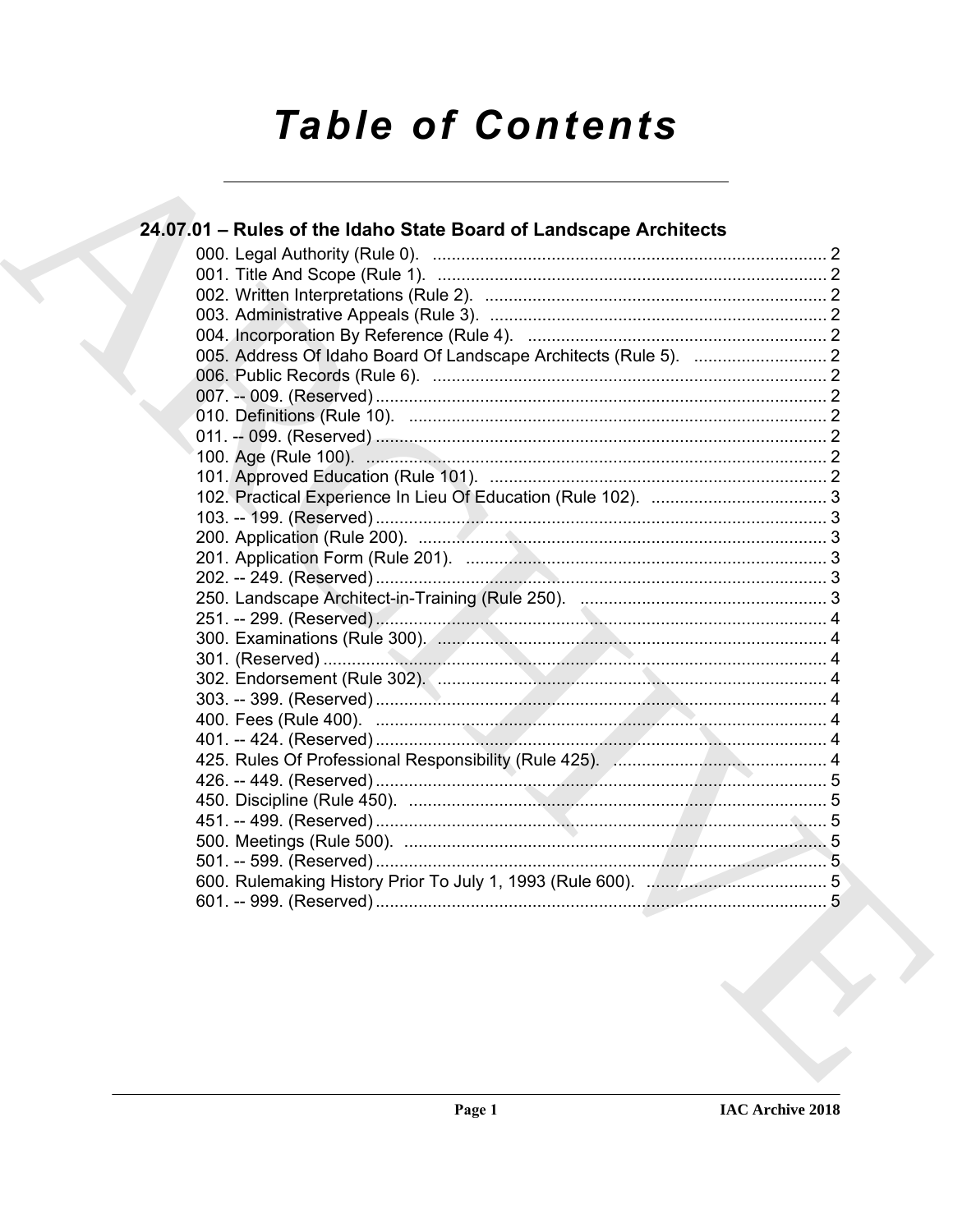# **Table of Contents**

| 24.07.01 – Rules of the Idaho State Board of Landscape Architects |  |
|-------------------------------------------------------------------|--|
|                                                                   |  |
|                                                                   |  |
|                                                                   |  |
|                                                                   |  |
|                                                                   |  |
|                                                                   |  |
|                                                                   |  |
|                                                                   |  |
|                                                                   |  |
|                                                                   |  |
|                                                                   |  |
|                                                                   |  |
|                                                                   |  |
|                                                                   |  |
|                                                                   |  |
|                                                                   |  |
|                                                                   |  |
|                                                                   |  |
|                                                                   |  |
|                                                                   |  |
|                                                                   |  |
|                                                                   |  |
|                                                                   |  |
|                                                                   |  |
|                                                                   |  |
|                                                                   |  |
|                                                                   |  |
|                                                                   |  |
|                                                                   |  |
|                                                                   |  |
|                                                                   |  |
|                                                                   |  |
|                                                                   |  |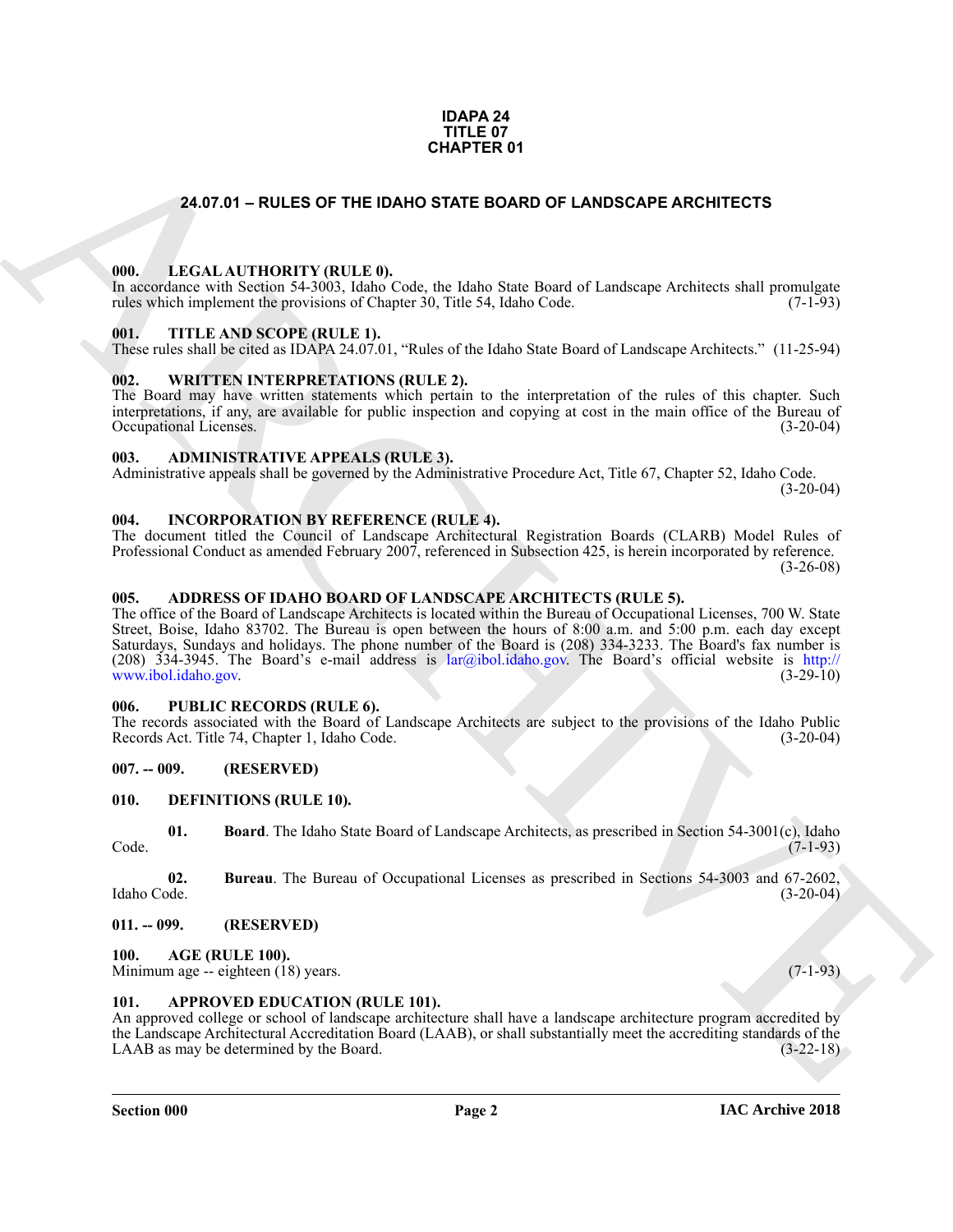#### **IDAPA 24 TITLE 07 CHAPTER 01**

#### <span id="page-1-0"></span>**24.07.01 – RULES OF THE IDAHO STATE BOARD OF LANDSCAPE ARCHITECTS**

#### <span id="page-1-21"></span><span id="page-1-1"></span>**000. LEGAL AUTHORITY (RULE 0).**

In accordance with Section 54-3003, Idaho Code, the Idaho State Board of Landscape Architects shall promulgate rules which implement the provisions of Chapter 30, Title 54, Idaho Code. (7-1-93)

#### <span id="page-1-23"></span><span id="page-1-2"></span>**001. TITLE AND SCOPE (RULE 1).**

These rules shall be cited as IDAPA 24.07.01, "Rules of the Idaho State Board of Landscape Architects." (11-25-94)

#### <span id="page-1-24"></span><span id="page-1-3"></span>**002. WRITTEN INTERPRETATIONS (RULE 2).**

The Board may have written statements which pertain to the interpretation of the rules of this chapter. Such interpretations, if any, are available for public inspection and copying at cost in the main office of the Bureau of Occupational Licenses. (3-20-04) Occupational Licenses.

#### <span id="page-1-14"></span><span id="page-1-4"></span>**003. ADMINISTRATIVE APPEALS (RULE 3).**

Administrative appeals shall be governed by the Administrative Procedure Act, Title 67, Chapter 52, Idaho Code. (3-20-04)

#### <span id="page-1-20"></span><span id="page-1-5"></span>**004. INCORPORATION BY REFERENCE (RULE 4).**

The document titled the Council of Landscape Architectural Registration Boards (CLARB) Model Rules of Professional Conduct as amended February 2007, referenced in Subsection 425, is herein incorporated by reference. (3-26-08)

#### <span id="page-1-13"></span><span id="page-1-6"></span>**005. ADDRESS OF IDAHO BOARD OF LANDSCAPE ARCHITECTS (RULE 5).**

**24.07.01 - RULES OF THE IDANO STATE BOARD OF LANDSCAPE ARC[HI](mailto:lar@ibol.idaho.gov)TECTS**<br>
1991. LEGAL ALTITORITY (BULLE)<br>
1992. THE AND SCOPE (RELET II).<br>
1993. THE AND SCOPE (RELET II).<br>
1993. THE AND SCOPE (RELET II).<br>
1993. THE AND SCOPE ( The office of the Board of Landscape Architects is located within the Bureau of Occupational Licenses, 700 W. State Street, Boise, Idaho 83702. The Bureau is open between the hours of 8:00 a.m. and 5:00 p.m. each day except Saturdays, Sundays and holidays. The phone number of the Board is (208) 334-3233. The Board's fax number is (208) 334-3945. The Board's e-mail address is lar@ibol.idaho.gov. The Board's official website is http:// www.ibol.idaho.gov. (3-29-10)

#### <span id="page-1-22"></span><span id="page-1-7"></span>**006. PUBLIC RECORDS (RULE 6).**

The records associated with the Board of Landscape Architects are subject to the provisions of the Idaho Public Records Act. Title 74, Chapter 1, Idaho Code. (3-20-04)

#### <span id="page-1-8"></span>**007. -- 009. (RESERVED)**

#### <span id="page-1-17"></span><span id="page-1-9"></span>**010. DEFINITIONS (RULE 10).**

<span id="page-1-18"></span>**01. Board**. The Idaho State Board of Landscape Architects, as prescribed in Section 54-3001(c), Idaho (7-1-93) Code. (7-1-93)

<span id="page-1-19"></span>**02. Bureau**. The Bureau of Occupational Licenses as prescribed in Sections 54-3003 and 67-2602, Idaho Code. (3-20-04)

#### <span id="page-1-10"></span>**011. -- 099. (RESERVED)**

#### <span id="page-1-15"></span><span id="page-1-11"></span>**100. AGE (RULE 100).**

Minimum age -- eighteen (18) years. (7-1-93)

#### <span id="page-1-16"></span><span id="page-1-12"></span>**101. APPROVED EDUCATION (RULE 101).**

An approved college or school of landscape architecture shall have a landscape architecture program accredited by the Landscape Architectural Accreditation Board (LAAB), or shall substantially meet the accrediting standards of the LAAB as may be determined by the Board. (3-22-18)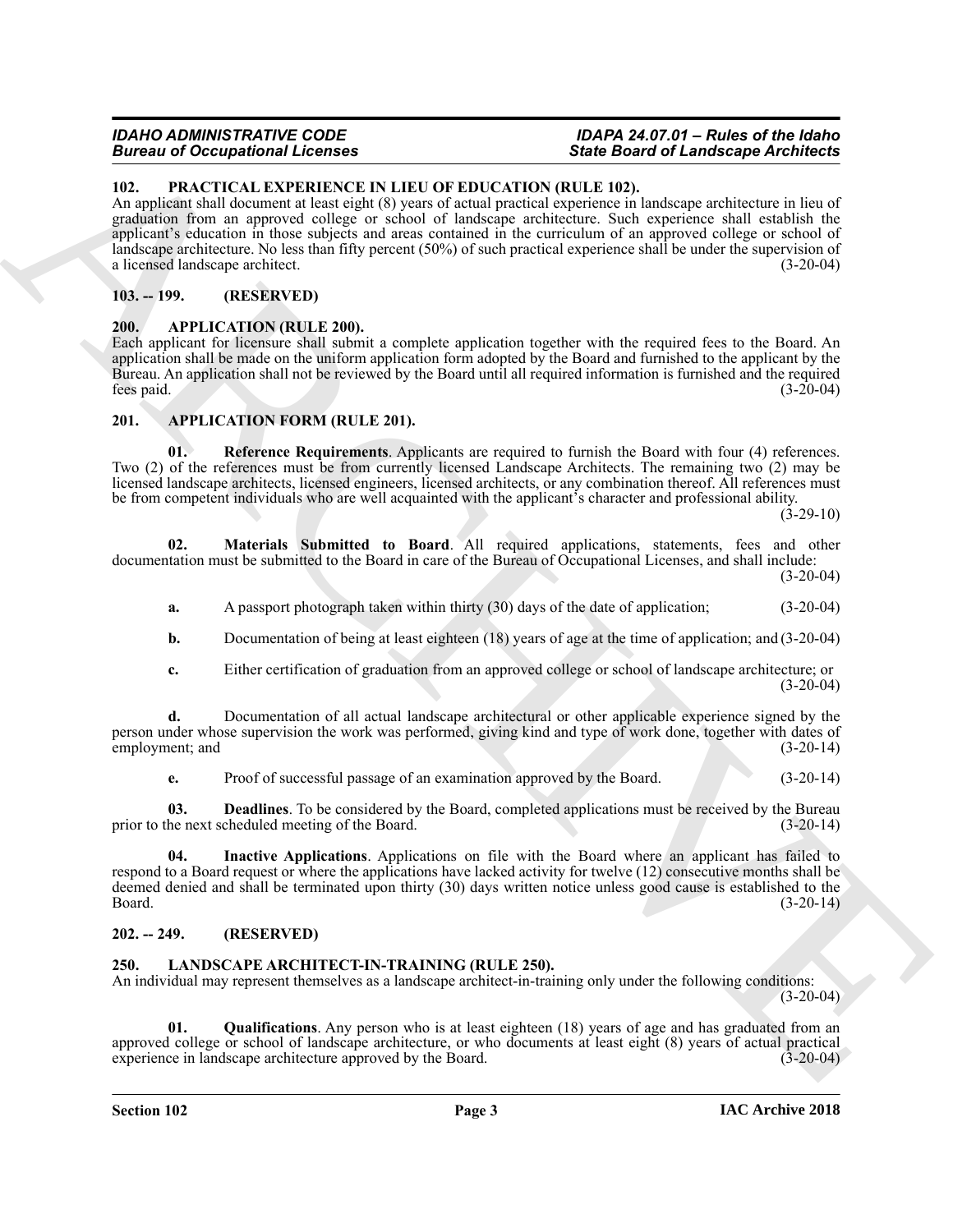### **Bureau of Occupational Licenses**

### *IDAHO ADMINISTRATIVE CODE IDAPA 24.07.01 – Rules of the Idaho*

#### <span id="page-2-14"></span><span id="page-2-0"></span>**102. PRACTICAL EXPERIENCE IN LIEU OF EDUCATION (RULE 102).**

Brain and Conception of the March 2001 State Conception (E) ERG. Brain and Conception of the March 2001 State Conception (E) and Conception (E) and Conception (E) and Conception (E) and Conception (E) and Conception (E) a An applicant shall document at least eight (8) years of actual practical experience in landscape architecture in lieu of graduation from an approved college or school of landscape architecture. Such experience shall establish the applicant's education in those subjects and areas contained in the curriculum of an approved college or school of landscape architecture. No less than fifty percent (50%) of such practical experience shall be under the supervision of a licensed landscape architect. (3-20-04)

#### <span id="page-2-1"></span>**103. -- 199. (RESERVED)**

#### <span id="page-2-6"></span><span id="page-2-2"></span>**200. APPLICATION (RULE 200).**

Each applicant for licensure shall submit a complete application together with the required fees to the Board. An application shall be made on the uniform application form adopted by the Board and furnished to the applicant by the Bureau. An application shall not be reviewed by the Board until all required information is furnished and the required fees paid. (3-20-04)

#### <span id="page-2-7"></span><span id="page-2-3"></span>**201. APPLICATION FORM (RULE 201).**

<span id="page-2-11"></span>**01. Reference Requirements**. Applicants are required to furnish the Board with four (4) references. Two (2) of the references must be from currently licensed Landscape Architects. The remaining two (2) may be licensed landscape architects, licensed engineers, licensed architects, or any combination thereof. All references must be from competent individuals who are well acquainted with the applicant's character and professional ability.

 $(3-29-10)$ 

**02. Materials Submitted to Board**. All required applications, statements, fees and other documentation must be submitted to the Board in care of the Bureau of Occupational Licenses, and shall include: (3-20-04)

<span id="page-2-10"></span>**a.** A passport photograph taken within thirty (30) days of the date of application; (3-20-04)

**b.** Documentation of being at least eighteen (18) years of age at the time of application; and (3-20-04)

**c.** Either certification of graduation from an approved college or school of landscape architecture; or  $(3-20-04)$ 

**d.** Documentation of all actual landscape architectural or other applicable experience signed by the person under whose supervision the work was performed, giving kind and type of work done, together with dates of employment; and (3-20-14)

<span id="page-2-9"></span><span id="page-2-8"></span>**e.** Proof of successful passage of an examination approved by the Board. (3-20-14)

**03. Deadlines**. To be considered by the Board, completed applications must be received by the Bureau prior to the next scheduled meeting of the Board. (3-20-14)

**04. Inactive Applications**. Applications on file with the Board where an applicant has failed to respond to a Board request or where the applications have lacked activity for twelve (12) consecutive months shall be deemed denied and shall be terminated upon thirty (30) days written notice unless good cause is established to the Board. (3-20-14)

#### <span id="page-2-4"></span>**202. -- 249. (RESERVED)**

#### <span id="page-2-12"></span><span id="page-2-5"></span>**250. LANDSCAPE ARCHITECT-IN-TRAINING (RULE 250).**

An individual may represent themselves as a landscape architect-in-training only under the following conditions:  $(3-20-04)$ 

<span id="page-2-13"></span>**01. Qualifications**. Any person who is at least eighteen (18) years of age and has graduated from an approved college or school of landscape architecture, or who documents at least eight (8) years of actual practical experience in landscape architecture approved by the Board. (3-20-04)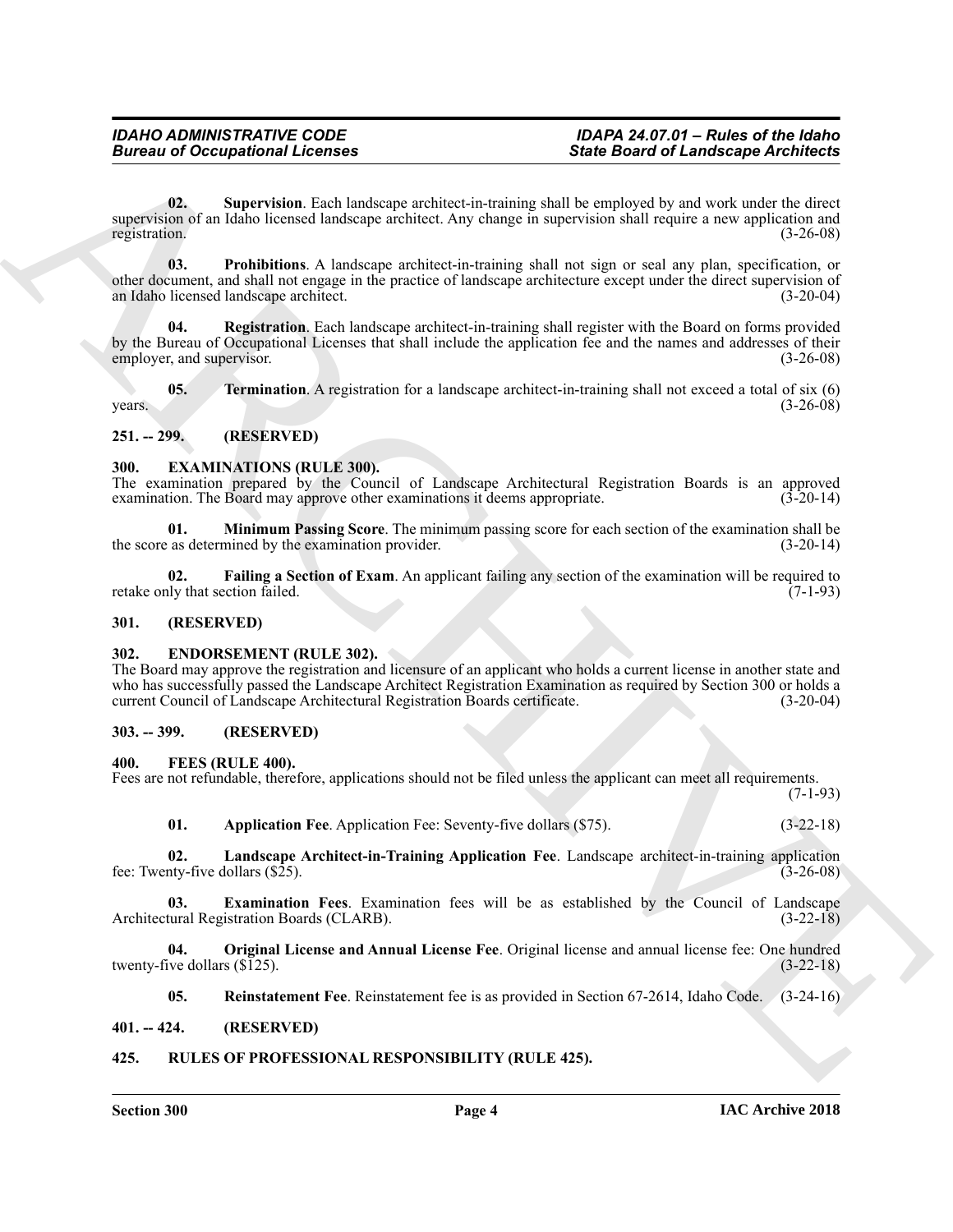## **Bureau of Occupational Licenses**

## *IDAHO ADMINISTRATIVE CODE IDAPA 24.07.01 – Rules of the Idaho*

<span id="page-3-20"></span>**02. Supervision**. Each landscape architect-in-training shall be employed by and work under the direct supervision of an Idaho licensed landscape architect. Any change in supervision shall require a new application and registration. (3-26-08) registration. (3-26-08)

<span id="page-3-19"></span><span id="page-3-18"></span>**03. Prohibitions**. A landscape architect-in-training shall not sign or seal any plan, specification, or other document, and shall not engage in the practice of landscape architecture except under the direct supervision of an Idaho licensed landscape architect. (3-20-04)

**Since the offering the control of the control of the symptoms of the symptoms of the symptoms of the control of the symptoms of the symptoms of the symptoms of the symptoms of the symptoms of the symptoms of the symptoms Registration**. Each landscape architect-in-training shall register with the Board on forms provided by the Bureau of Occupational Licenses that shall include the application fee and the names and addresses of their employer, and supervisor. (3-26-08) (3-26-08)

<span id="page-3-21"></span>**05. Termination**. A registration for a landscape architect-in-training shall not exceed a total of six (6)  $years.$  (3-26-08)

#### <span id="page-3-0"></span>**251. -- 299. (RESERVED)**

#### <span id="page-3-9"></span><span id="page-3-1"></span>**300. EXAMINATIONS (RULE 300).**

The examination prepared by the Council of Landscape Architectural Registration Boards is an approved examination. The Board may approve other examinations it deems appropriate.  $(3-20-14)$ 

<span id="page-3-11"></span>**01. Minimum Passing Score**. The minimum passing score for each section of the examination shall be the score as determined by the examination provider. (3-20-14)

<span id="page-3-10"></span>**02. Failing a Section of Exam**. An applicant failing any section of the examination will be required to retake only that section failed. (7-1-93)

#### <span id="page-3-2"></span>**301. (RESERVED)**

#### <span id="page-3-8"></span><span id="page-3-3"></span>**302. ENDORSEMENT (RULE 302).**

The Board may approve the registration and licensure of an applicant who holds a current license in another state and who has successfully passed the Landscape Architect Registration Examination as required by Section 300 or holds a current Council of Landscape Architectural Registration Boards certificate. (3-20-04)

#### <span id="page-3-4"></span>**303. -- 399. (RESERVED)**

#### <span id="page-3-12"></span><span id="page-3-5"></span>**400. FEES (RULE 400).**

Fees are not refundable, therefore, applications should not be filed unless the applicant can meet all requirements. (7-1-93)

<span id="page-3-15"></span><span id="page-3-14"></span><span id="page-3-13"></span>**01. Application Fee**. Application Fee: Seventy-five dollars (\$75). (3-22-18)

**02. Landscape Architect-in-Training Application Fee**. Landscape architect-in-training application fee: Twenty-five dollars  $(\$25)$ .

**03. Examination Fees**. Examination fees will be as established by the Council of Landscape Architectural Registration Boards (CLARB). (3-22-18)

**04. Original License and Annual License Fee**. Original license and annual license fee: One hundred twenty-five dollars  $(\overline{\$125})$ . (3-22-18)

<span id="page-3-22"></span><span id="page-3-17"></span><span id="page-3-16"></span>**05. Reinstatement Fee**. Reinstatement fee is as provided in Section 67-2614, Idaho Code. (3-24-16)

#### <span id="page-3-6"></span>**401. -- 424. (RESERVED)**

#### <span id="page-3-7"></span>**425. RULES OF PROFESSIONAL RESPONSIBILITY (RULE 425).**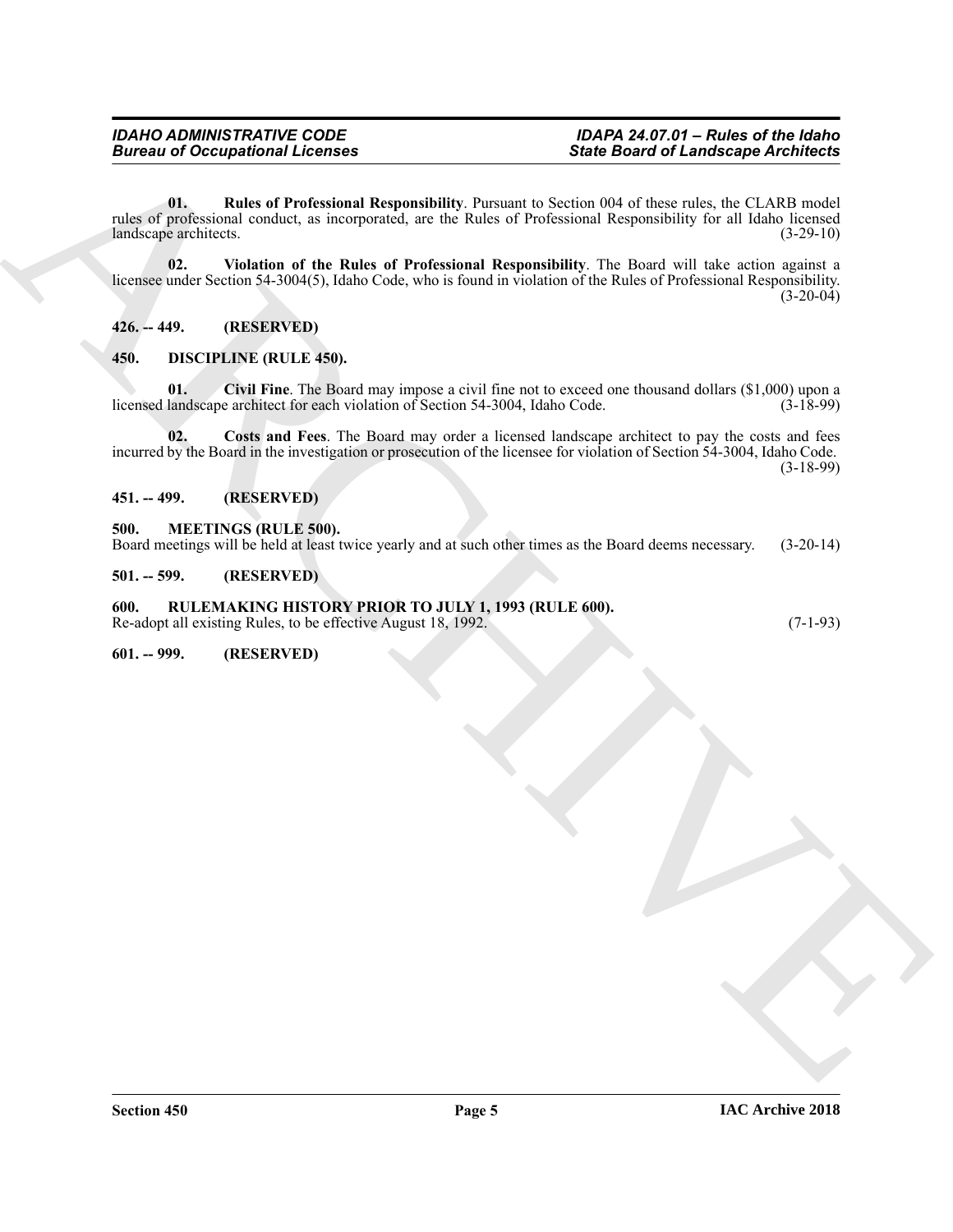Since the other control of the control of the state of the first of the state of the state of the state of the state of the state of the state of the state of the state of the state of the state of the state of the state **01. Rules of Professional Responsibility**. Pursuant to Section 004 of these rules, the CLARB model rules of professional conduct, as incorporated, are the Rules of Professional Responsibility for all Idaho licensed<br>(3-29-10) (3-29-10) landscape architects.

<span id="page-4-12"></span><span id="page-4-11"></span>**02. Violation of the Rules of Professional Responsibility**. The Board will take action against a licensee under Section 54-3004(5), Idaho Code, who is found in violation of the Rules of Professional Responsibility.  $(3-20-04)$ 

<span id="page-4-0"></span>**426. -- 449. (RESERVED)**

#### <span id="page-4-7"></span><span id="page-4-1"></span>**450. DISCIPLINE (RULE 450).**

<span id="page-4-8"></span>**01. Civil Fine**. The Board may impose a civil fine not to exceed one thousand dollars (\$1,000) upon a licensed landscape architect for each violation of Section 54-3004, Idaho Code. (3-18-99)

<span id="page-4-9"></span>**02. Costs and Fees**. The Board may order a licensed landscape architect to pay the costs and fees incurred by the Board in the investigation or prosecution of the licensee for violation of Section 54-3004, Idaho Code. (3-18-99)

<span id="page-4-2"></span>**451. -- 499. (RESERVED)**

#### <span id="page-4-10"></span><span id="page-4-3"></span>**500. MEETINGS (RULE 500).**

Board meetings will be held at least twice yearly and at such other times as the Board deems necessary. (3-20-14)

<span id="page-4-4"></span>**501. -- 599. (RESERVED)**

#### <span id="page-4-5"></span>**600. RULEMAKING HISTORY PRIOR TO JULY 1, 1993 (RULE 600).**

Re-adopt all existing Rules, to be effective August 18, 1992. (7-1-93)

<span id="page-4-6"></span>**601. -- 999. (RESERVED)**